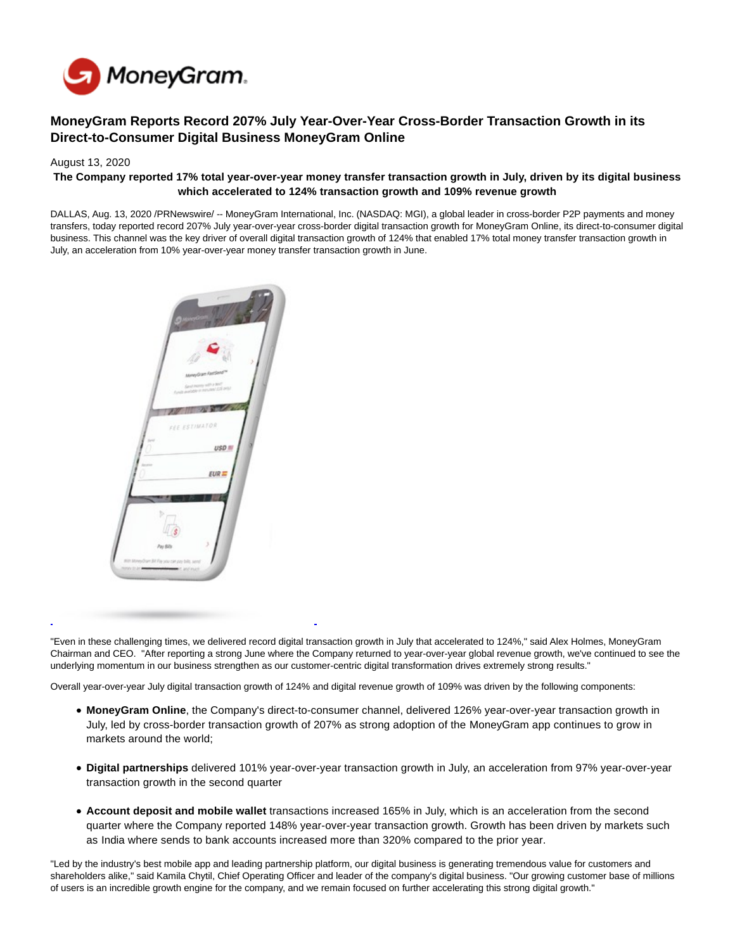

## **MoneyGram Reports Record 207% July Year-Over-Year Cross-Border Transaction Growth in its Direct-to-Consumer Digital Business MoneyGram Online**

## August 13, 2020

## **The Company reported 17% total year-over-year money transfer transaction growth in July, driven by its digital business which accelerated to 124% transaction growth and 109% revenue growth**

DALLAS, Aug. 13, 2020 /PRNewswire/ -- MoneyGram International, Inc. (NASDAQ: MGI), a global leader in cross-border P2P payments and money transfers, today reported record 207% July year-over-year cross-border digital transaction growth for MoneyGram Online, its direct-to-consumer digital business. This channel was the key driver of overall digital transaction growth of 124% that enabled 17% total money transfer transaction growth in July, an acceleration from 10% year-over-year money transfer transaction growth in June.



"Even in these challenging times, we delivered record digital transaction growth in July that accelerated to 124%," said Alex Holmes, MoneyGram Chairman and CEO. "After reporting a strong June where the Company returned to year-over-year global revenue growth, we've continued to see the underlying momentum in our business strengthen as our customer-centric digital transformation drives extremely strong results."

Overall year-over-year July digital transaction growth of 124% and digital revenue growth of 109% was driven by the following components:

- **MoneyGram Online**, the Company's direct-to-consumer channel, delivered 126% year-over-year transaction growth in July, led by cross-border transaction growth of 207% as strong adoption of the MoneyGram app continues to grow in markets around the world;
- **Digital partnerships** delivered 101% year-over-year transaction growth in July, an acceleration from 97% year-over-year transaction growth in the second quarter
- **Account deposit and mobile wallet** transactions increased 165% in July, which is an acceleration from the second quarter where the Company reported 148% year-over-year transaction growth. Growth has been driven by markets such as India where sends to bank accounts increased more than 320% compared to the prior year.

"Led by the industry's best mobile app and leading partnership platform, our digital business is generating tremendous value for customers and shareholders alike," said Kamila Chytil, Chief Operating Officer and leader of the company's digital business. "Our growing customer base of millions of users is an incredible growth engine for the company, and we remain focused on further accelerating this strong digital growth."